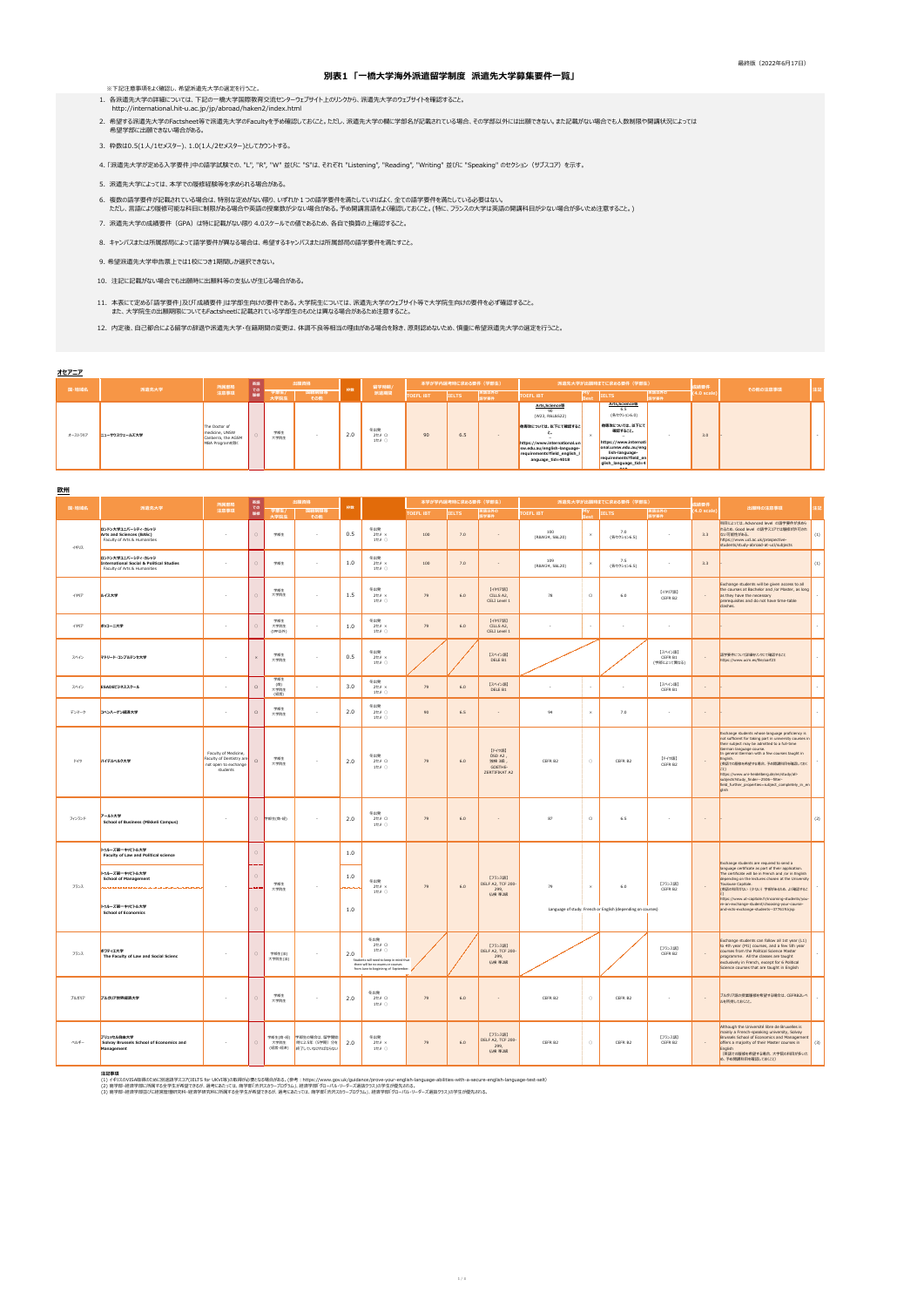最終版(2022年6月17日)

| 国・地域名   |               | 所属部局                                                                    |                       |              | 出願資格         |     | 留学時期/                 |                  | 本学が学内選考時に求める要件(学部生) |                      |                                                                                                                                                                                                                      | <b>派遣先大学が出願時までに求める要件(学部生)</b>                                                                                                                                                                                               |               | 成績要件                  | その他の注意事項 |  |
|---------|---------------|-------------------------------------------------------------------------|-----------------------|--------------|--------------|-----|-----------------------|------------------|---------------------|----------------------|----------------------------------------------------------------------------------------------------------------------------------------------------------------------------------------------------------------------|-----------------------------------------------------------------------------------------------------------------------------------------------------------------------------------------------------------------------------|---------------|-----------------------|----------|--|
|         | 派遣先大学         | 注意事項                                                                    | での<br>一 <sub>宿修</sub> | 学部生/<br>大学院生 | 国籍制限等<br>その他 | 枠数  | 派遣期間                  | <b>TOEFL IBT</b> | <b>IELTS</b>        | 英語以外の<br><b>語学要件</b> | <b>TOEFL IBT</b>                                                                                                                                                                                                     | <b>IELTS</b>                                                                                                                                                                                                                | 英語以外の<br>語学要件 | $(4.0 \text{ scale})$ |          |  |
| オーストラリア | ニューサウスウェールズ大学 | The Doctor of<br>medicine, UNSW<br>Canberra, the AGSM<br>MBA Programを除く |                       | 学部生<br>大学院生  |              | 2.0 | 冬出発<br>2セメ ○<br>1セメ ○ | 90               | 6.5                 |                      | <u>Arts,Science等</u><br>90<br>(W23, R&L&S22)<br>■他専攻については、以下にて確認するこ<br><b>م</b> ے<br>$\vert$ https://www.international.un $\vert$<br>sw.edu.au/english-language-<br>requirements?field_english_l<br>anguage_tid=4018 | <u>Arts,Science等</u><br>6.5<br>(各セクション6.0)<br> 他専攻については、以下にて<br>確認すること。<br>https://www.internati<br>onal.unsw.edu.au/eng<br>lish-language-<br>$\vert$ requirements?field_en $\vert$<br>glish_language_tid=4<br>$\mathbf{A}$ |               | 3.0                   |          |  |

| ブルガリア<br>フルガリア世界経済大学                                                        |  | 学部生<br>大学院生     |                                                                                 | 2.0 | 冬出発<br>2セメ 〇<br>1セメ ○         | 79 | 6.0 |                                                       | CEFR B2 | CEFR B2 | $\sim$             | フルガリア語の授業履修を希望する場合は、CEFRB2レベ<br>ルを所持しておくこと。                                                                                                                                                                                                                      |
|-----------------------------------------------------------------------------|--|-----------------|---------------------------------------------------------------------------------|-----|-------------------------------|----|-----|-------------------------------------------------------|---------|---------|--------------------|------------------------------------------------------------------------------------------------------------------------------------------------------------------------------------------------------------------------------------------------------------------|
| フリュッセル自由大学<br>ベルギー<br>Solvay Brussels School of Economics and<br>Management |  | 大学院生<br>(経営・経済) | 学部生(商・経) <mark>学部生の場合は、留学開始 </mark><br>  時に2.5年(5学期)分を   2.0<br>┃終了していなければならない┃ |     | 冬出発<br>$2t \times x$<br>1セメ ○ | 79 | 6.0 | 【フランス語】<br><b>DELF A2, TCF 200-</b><br>299,<br>仏検 準2級 | CEFR B2 | CEFR B2 | 【フランス語】<br>CEFR B2 | Although the Université libre de Bruxelles is<br>mainly a French-speaking university, Solvay<br>Brussels School of Economics and Management<br>(3)<br>offers a majority of their Master courses in<br>English<br>(英語での履修を希望する場合、大学院の科目が多いた<br>め、予め開講科目を確認しておくこと) |

**注記事項**

(1) イギリスのVISA取得のために別途語学スコア(IELTS for UKVI等)の取得が必要となる場合がある。(参考:https://www.gov.uk/guidance/prove-your-english-language-abilities-with-a-secure-english-language-test-selt) (2) 商学部・経済学部に所属する全学生が希望できるが、選考にあたっては、商学部「渋沢スカラープログラム」、経済学部「グローバル・リーダーズ選抜クラス」の学生が優先される。 (3) 商学部・経済学部並びに経営管理研究科・経済学研究科に所属する全学生が希望できるが、選考にあたっては、商学部「渋沢スカラープログラム」、経済学部「グローバル・リーダーズ選抜クラス」の学生が優先される。

## **別表1 「一橋大学海外派遣留学制度 派遣先大学募集要件一覧」**

## **オセアニア**

**欧州**

9. 希望派遣先大学申告票上では1校につき1期間しか選択できない。

10. 注記に記載がない場合でも出願時に出願料等の支払いが生じる場合がある。

12. 内定後、自己都合による留学の辞退や派遣先大学・在籍期間の変更は、体調不良等相当の理由がある場合を除き、原則認めないため、慎重に希望派遣先大学の選定を行うこと。

 6. 複数の語学要件が記載されている場合は、特別な定めがない限り、いずれか1つの語学要件を満たしていればよく、全ての語学要件を満たしている必要はない。 ただし、言語により履修可能な科目に制限がある場合や英語の授業数が少ない場合がある。予め開講言語をよく確認しておくこと。(特に、フランスの大学は英語の開講科目が少ない場合が多いため注意すること。)

※下記注意事項をよく確認し、希望派遣先大学の選定を行うこと。

- 1. 各派遣先大学の詳細については、下記の一橋大学国際教育交流センターウェブサイト上のリンクから、派遣先大学のウェブサイトを確認すること。 http://international.hit-u.ac.jp/jp/abroad/haken2/index.html
- 2. 希望する派遣先大学のFactsheet等で派遣先大学のFacultyを予め確認しておくこと。ただし、派遣先大学の欄に学部名が記載されている場合、その学部以外には出願できない。また記載がない場合でも人数制限や開講状況によっては 希望学部に出願できない場合がある。

|        | 派遣先大学                                                                                           | 所属部局                                                                                 |               | 出願資格                       |                 |     |                                                                                                                                               | 本学が学内選考時に求める要件(学部生) |              |                                                         | 派遣先大学が出願時までに求める要件(学部生) |                   |                                                             |                                   |                               |                                                                                                                                                                                                                                                                                                                                                                                                                                                         |     |
|--------|-------------------------------------------------------------------------------------------------|--------------------------------------------------------------------------------------|---------------|----------------------------|-----------------|-----|-----------------------------------------------------------------------------------------------------------------------------------------------|---------------------|--------------|---------------------------------------------------------|------------------------|-------------------|-------------------------------------------------------------|-----------------------------------|-------------------------------|---------------------------------------------------------------------------------------------------------------------------------------------------------------------------------------------------------------------------------------------------------------------------------------------------------------------------------------------------------------------------------------------------------------------------------------------------------|-----|
| 国·地域名  |                                                                                                 | 注意事項                                                                                 | 英語<br>で<br>履修 | 学部生/<br>大学院生               | 国籍制限等<br>その他    | 枠数  |                                                                                                                                               | <b>TOEFL IBT</b>    | <b>IELTS</b> | <b>英語以外の</b><br>語学要件                                    | <b>TOEFL IBT</b>       | <b>My</b><br>Best | <b>IELTS</b>                                                | 英語以外の<br> 語学要件                    | 成績要件<br>$(4.0 \text{ scale})$ | 出願時の注意事項                                                                                                                                                                                                                                                                                                                                                                                                                                                | 注記  |
| イギリス   | ロンドン大学ユニバーシティ・カレッジ<br><b>Arts and Sciences (BASc)</b><br>Faculty of Arts & Humanities           | $\sim$                                                                               |               | 学部生                        | $\sim$          | 0.5 | 冬出発<br>2セメ ×<br>1セメ ○                                                                                                                         | 100                 | 7.0          |                                                         | 100<br>(R&W24, S&L20)  | $\times$          | 7.0<br>(各セクション6.5)                                          | $\sim$ 100 $\sim$                 | 3.3                           | お目によっては、Advanced level の語学要件が求めら<br>れるため、Good level の語学スコアでは履修が許可され<br>ない可能性がある。<br>https://www.ucl.ac.uk/prospective-<br>students/study-abroad-at-ucl/subjects                                                                                                                                                                                                                                                                                         | (1) |
|        | ┃ロンドン大学ユニバーシティ・カレッジ<br>International Social & Political Studies<br>Faculty of Arts & Humanities | $\sim 1000$                                                                          |               | 学部生                        | $\sim$          | 1.0 | 冬出発<br>2セメ ×<br>1セメ ○                                                                                                                         | 100                 | 7.0          |                                                         | 109<br>(R&W24, S&L20)  |                   | 7.5<br>(各セクション6.5)                                          | $\sim$                            | 3.3                           |                                                                                                                                                                                                                                                                                                                                                                                                                                                         | (1) |
| イタリア   | ルイス大学                                                                                           | $\sim$ $-$                                                                           |               | 学部生<br>大学院生                | $\sim$ $-$      | 1.5 | 冬出発<br>$2t \times x$<br>1セメ ○                                                                                                                 | 79                  | 6.0          | 【イタリア語】<br>CILLS A2,<br>CELI Level 1                    | 78                     | $\bigcirc$        | 6.0                                                         | 【イタリア語】<br>CEFR B2                |                               | Exchange students will be given access to all<br>the courses at Bachelor and /or Master, as long<br>as they have the necessary<br>prerequisites and do not have time-table<br>clashes.                                                                                                                                                                                                                                                                  |     |
| イタリア   | ┃ボッコーニ大学                                                                                        | $\sim$ $-$                                                                           |               | 学部生<br>大学院生<br>(IPP以外)     | $\sim$          | 1.0 | 冬出発<br>$2t \times x$<br>1セメ ○                                                                                                                 | 79                  | 6.0          | 【イタリア語】<br>CILLS A2,<br>CELI Level 1                    | $\sim$                 | $\sim$            |                                                             | $\sim$ $-$                        |                               |                                                                                                                                                                                                                                                                                                                                                                                                                                                         |     |
| スペイン   | マドリード・コンプルテンセ大学                                                                                 | $\sim$ $-$                                                                           |               | 学部生<br>大学院生                | $\sim$ $-$      | 0.5 | 冬出発<br>2セメ ×<br>1セメ ○                                                                                                                         |                     |              | 【スペイン語】<br>DELE B1                                      |                        |                   |                                                             | 【スペイン語】<br>CEFR B1<br>(学部によって異なる) |                               | ■ 語学要件について詳細をリンクにて確認すること<br>https://www.ucm.es/file/oarf23                                                                                                                                                                                                                                                                                                                                                                                              |     |
| スペイン   | <b>ESADEビジネススクール</b>                                                                            | $\sim 100$ m $^{-1}$                                                                 | $\circ$       | 学部生<br>(商)<br>大学院生<br>(経営) | $\sim$          | 3.0 | 冬出発<br>2セメ ×<br>1セメ ○                                                                                                                         | 79                  | 6.0          | 【スペイン語】<br>DELE B1                                      |                        | $\sim$            |                                                             | 【スペイン語】<br>CEFR B1                | $\sim$                        |                                                                                                                                                                                                                                                                                                                                                                                                                                                         |     |
| デンマーク  | コペンハーゲン経済大学                                                                                     | $\sim$ $-$                                                                           | $\circ$       | 学部生<br>大学院生                | $\sim$          | 2.0 | 冬出発<br>2セメ ○<br>1セメ ○                                                                                                                         | 90                  | 6.5          | <b>Service</b>                                          | 94                     | $\times$          | 7.0                                                         | $\sim$                            | $\sim$ $-$                    |                                                                                                                                                                                                                                                                                                                                                                                                                                                         |     |
| ドイツ    | ハイデルベルク大学                                                                                       | Faculty of Medicine,<br>Faculty of Dentistry are<br>not open to exchange<br>students | $\circ$       | 学部生<br>大学院生                | $\sim$          | 2.0 | 冬出発<br>2セメ ○<br>1セメ ○                                                                                                                         | 79                  | 6.0          | 【ドイツ語】<br>ÖSD A2,<br>独検 3級,<br>GOETHE-<br>ZERTIFIKAT A2 | CEFR B2                | $\bigcirc$        | CEFR B2                                                     | 【ドイツ語】<br>CEFR B2                 |                               | Exchange students whose language proficiency is<br>$\vert$ not sufficient for taking part in university courses in<br>their subject may be admitted to a full-time<br>German language course.<br>In general German with a few courses taught in<br>English.<br>(英語での履修を希望する場合、予め開講科目を確認しておく<br>にと)<br>https://www.uni-heidelberg.de/en/study/all-<br>subjects?study_finder--2506--filter-<br>$\left $ field_further_properties=subject_completely_in_en |     |
| フィンランド | アールト大学<br><b>School of Business (Mikkeli Campus)</b>                                            | $\sim$                                                                               |               | <mark> </mark> 学部生(商・経)    | $\sim$          | 2.0 | 冬出発<br>2セメ 〇<br>1セメ ○                                                                                                                         | 79                  | 6.0          |                                                         | 87                     | $\bigcirc$        | 6.5                                                         | $\sim$                            | $\sim$ $-$                    |                                                                                                                                                                                                                                                                                                                                                                                                                                                         | (2) |
|        | トゥルーズ第一キャピトル大学<br><b>Faculty of Law and Political science</b>                                   |                                                                                      |               |                            |                 | 1.0 |                                                                                                                                               |                     |              |                                                         |                        |                   |                                                             |                                   |                               | Exchange students are required to send a                                                                                                                                                                                                                                                                                                                                                                                                                |     |
| フランス   | トゥルーズ第一キャピトル大学<br><b>School of Management</b>                                                   |                                                                                      |               | 学部生<br>大学院生                |                 | 1.0 | 冬出発<br>$2t \times x$<br>1セメ ○                                                                                                                 | 79                  | 6.0          | 【フランス語】<br>DELF A2, TCF 200-<br>299,<br>仏検 準2級          | 79                     |                   | 6.0                                                         | 【フランス語】<br>CEFR B2                |                               | language certificate as part of their application.<br>The certificate will be in French and /or in English<br>depending on the lectures chosen at the University $\vert$<br>Toulouse Capitole.<br>(英語の科目ガない(少ない)学部があるため、よく確認するこ                                                                                                                                                                                                                         |     |
|        | トゥルーズ第一キャピトル大学<br><b>School of Economics</b>                                                    |                                                                                      |               |                            |                 | 1.0 |                                                                                                                                               |                     |              |                                                         |                        |                   | Language of study: French or English (depending on courses) |                                   |                               | $\vert$ https://www.ut-capitole.fr/incoming-students/you- $\vert$<br>$\vert$ re-an-exchange-student/choosing-your-course-<br>and-ects-exchange-students--377619.kjsp                                                                                                                                                                                                                                                                                    |     |
| フランス   | ポワティエ大学<br>The Faculty of Law and Social Scienc                                                 | $\sim$                                                                               |               | 学部生(法)<br>大学院生(法)          | $\sim 10^{-11}$ | 2.0 | 冬出発<br>2セメ 〇<br>1セメ ○<br>Students will need to keep in mind that<br>there will be no exams or courses<br>from June to begininng of September. |                     |              | 【フランス語】<br>DELF A2, TCF 200-<br>299,<br>仏検 準2級          |                        |                   |                                                             | 【フランス語】<br>CEFR B2                |                               | Exchange students can follow all 1st year $(L1)$<br>to 4th year (M1) courses, and a few 5th year<br>courses from the Political Science Master<br>programme. All the classes are taught<br>exclusively in French, except for 6 Political<br>Science courses that are taught in English                                                                                                                                                                   |     |
|        |                                                                                                 |                                                                                      |               |                            |                 |     |                                                                                                                                               |                     |              |                                                         |                        |                   |                                                             |                                   |                               |                                                                                                                                                                                                                                                                                                                                                                                                                                                         |     |

3. 枠数は0.5(1人/1セメスター)、1.0(1人/2セメスター)としてカウントする。

4. 「派遣先大学が定める入学要件」中の語学試験での、"L", "R", "W" 並びに "S"は、それぞれ "Listening", "Reading", "Writing" 並びに "Speaking" のセクション (サブスコア) を示す。

5. 派遣先大学によっては、本学での履修経験等を求められる場合がある。

7. 派遣先大学の成績要件(GPA)は特に記載がない限り 4.0スケールでの値であるため、各自で換算の上確認すること。

 11. 本表にて定める「語学要件」及び「成績要件」は学部生向けの要件である。大学院生については、派遣先大学のウェブサイト等で大学院生向けの要件を必ず確認すること。 また、大学院生の出願期限についてもFactsheetに記載されている学部生のものとは異なる場合があるため注意すること。

8. キャンパスまたは所属部局によって語学要件が異なる場合は、希望するキャンパスまたは所属部局の語学要件を満たすこと。